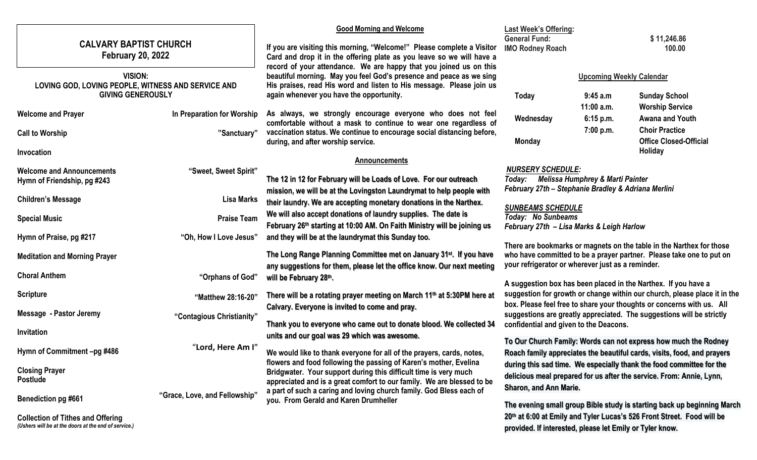|                                                                                           |                               | <b>Good Morning and Welcome</b>                                                                                                                                                                                                                                                             | <b>Last Week's Offering:</b>                                                                                                                                                                                                                                        |                                                                                                                     |                                                                        |  |
|-------------------------------------------------------------------------------------------|-------------------------------|---------------------------------------------------------------------------------------------------------------------------------------------------------------------------------------------------------------------------------------------------------------------------------------------|---------------------------------------------------------------------------------------------------------------------------------------------------------------------------------------------------------------------------------------------------------------------|---------------------------------------------------------------------------------------------------------------------|------------------------------------------------------------------------|--|
| <b>CALVARY BAPTIST CHURCH</b><br><b>February 20, 2022</b>                                 |                               | If you are visiting this morning, "Welcome!" Please complete a Visitor<br>Card and drop it in the offering plate as you leave so we will have a                                                                                                                                             | <b>General Fund:</b><br><b>IMO Rodney Roach</b>                                                                                                                                                                                                                     | \$11,246.86<br>100.00                                                                                               |                                                                        |  |
| VISION:<br>LOVING GOD, LOVING PEOPLE, WITNESS AND SERVICE AND<br><b>GIVING GENEROUSLY</b> |                               | record of your attendance. We are happy that you joined us on this<br>beautiful morning. May you feel God's presence and peace as we sing<br>His praises, read His word and listen to His message. Please join us                                                                           |                                                                                                                                                                                                                                                                     | <b>Upcoming Weekly Calendar</b>                                                                                     |                                                                        |  |
| <b>Welcome and Prayer</b>                                                                 | In Preparation for Worship    | again whenever you have the opportunity.<br>As always, we strongly encourage everyone who does not feel<br>comfortable without a mask to continue to wear one regardless of<br>vaccination status. We continue to encourage social distancing before,<br>during, and after worship service. | Today<br>Wednesday                                                                                                                                                                                                                                                  | 9:45 a.m<br>$11:00$ a.m.<br>6:15 p.m.                                                                               | <b>Sunday School</b><br><b>Worship Service</b><br>Awana and Youth      |  |
| <b>Call to Worship</b>                                                                    | "Sanctuary"                   |                                                                                                                                                                                                                                                                                             | <b>Monday</b>                                                                                                                                                                                                                                                       | 7:00 p.m.                                                                                                           | <b>Choir Practice</b><br><b>Office Closed-Official</b>                 |  |
| Invocation                                                                                |                               | <b>Announcements</b>                                                                                                                                                                                                                                                                        |                                                                                                                                                                                                                                                                     |                                                                                                                     | Holiday                                                                |  |
| <b>Welcome and Announcements</b><br>Hymn of Friendship, pg #243                           | "Sweet, Sweet Spirit"         | The 12 in 12 for February will be Loads of Love. For our outreach<br>mission, we will be at the Lovingston Laundrymat to help people with                                                                                                                                                   | Today:                                                                                                                                                                                                                                                              | <b>NURSERY SCHEDULE:</b><br>Melissa Humphrey & Marti Painter<br>February 27th - Stephanie Bradley & Adriana Merlini |                                                                        |  |
| <b>Children's Message</b>                                                                 | <b>Lisa Marks</b>             | their laundry. We are accepting monetary donations in the Narthex.                                                                                                                                                                                                                          |                                                                                                                                                                                                                                                                     |                                                                                                                     |                                                                        |  |
| <b>Special Music</b>                                                                      | <b>Praise Team</b>            | We will also accept donations of laundry supplies. The date is<br>February 26th starting at 10:00 AM. On Faith Ministry will be joining us                                                                                                                                                  | Today: No Sunbeams                                                                                                                                                                                                                                                  | <b>SUNBEAMS SCHEDULE</b><br>February 27th - Lisa Marks & Leigh Harlow                                               |                                                                        |  |
| Hymn of Praise, pg #217                                                                   | "Oh, How I Love Jesus"        | and they will be at the laundrymat this Sunday too.                                                                                                                                                                                                                                         |                                                                                                                                                                                                                                                                     |                                                                                                                     |                                                                        |  |
| <b>Meditation and Morning Prayer</b>                                                      |                               | The Long Range Planning Committee met on January 31 <sup>st</sup> . If you have<br>any suggestions for them, please let the office know. Our next meeting                                                                                                                                   | There are bookmarks or magnets on the table in the Narthex for those<br>who have committed to be a prayer partner. Please take one to put on<br>your refrigerator or wherever just as a reminder.<br>A suggestion box has been placed in the Narthex. If you have a |                                                                                                                     |                                                                        |  |
| <b>Choral Anthem</b>                                                                      | "Orphans of God"              | will be February 28th.                                                                                                                                                                                                                                                                      |                                                                                                                                                                                                                                                                     |                                                                                                                     |                                                                        |  |
| <b>Scripture</b>                                                                          | "Matthew 28:16-20"            | suggestion for growth or change within our church, please place it in the<br>There will be a rotating prayer meeting on March 11th at 5:30PM here at<br>box. Please feel free to share your thoughts or concerns with us. All<br>Calvary. Everyone is invited to come and pray.             |                                                                                                                                                                                                                                                                     |                                                                                                                     |                                                                        |  |
| <b>Message - Pastor Jeremy</b>                                                            | "Contagious Christianity"     |                                                                                                                                                                                                                                                                                             | suggestions are greatly appreciated. The suggestions will be strictly<br>confidential and given to the Deacons.<br>To Our Church Family: Words can not express how much the Rodney                                                                                  |                                                                                                                     |                                                                        |  |
| Invitation                                                                                |                               | Thank you to everyone who came out to donate blood. We collected 34<br>units and our goal was 29 which was awesome.                                                                                                                                                                         |                                                                                                                                                                                                                                                                     |                                                                                                                     |                                                                        |  |
| Hymn of Commitment -pg #486                                                               | "Lord, Here Am I"             | We would like to thank everyone for all of the prayers, cards, notes,                                                                                                                                                                                                                       | Roach family appreciates the beautiful cards, visits, food, and prayers                                                                                                                                                                                             |                                                                                                                     |                                                                        |  |
| <b>Closing Prayer</b>                                                                     |                               | flowers and food following the passing of Karen's mother, Evelina                                                                                                                                                                                                                           |                                                                                                                                                                                                                                                                     |                                                                                                                     | during this sad time. We especially thank the food committee for the   |  |
| <b>Postlude</b>                                                                           |                               | Bridgwater. Your support during this difficult time is very much<br>appreciated and is a great comfort to our family. We are blessed to be                                                                                                                                                  | delicious meal prepared for us after the service. From: Annie, Lynn,                                                                                                                                                                                                |                                                                                                                     |                                                                        |  |
| <b>Benediction pg #661</b>                                                                | "Grace, Love, and Fellowship" | a part of such a caring and loving church family. God Bless each of<br>you. From Gerald and Karen Drumheller                                                                                                                                                                                | <b>Sharon, and Ann Marie.</b><br>The evening small group Bible study is starting back up beginning March                                                                                                                                                            |                                                                                                                     |                                                                        |  |
| <b>Collection of Tithes and Offering</b>                                                  |                               |                                                                                                                                                                                                                                                                                             |                                                                                                                                                                                                                                                                     |                                                                                                                     | 20th at 6:00 at Emily and Tyler Lucas's 526 Front Street. Food will be |  |

*(Ushers will be at the doors at the end of service.)* 

**provided. If interested, please let Emily or Tyler know.**